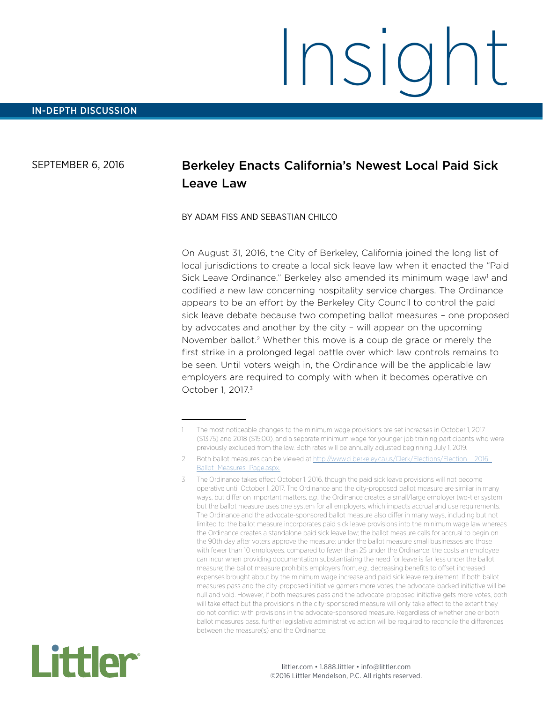#### SEPTEMBER 6, 2016

# Berkeley Enacts California's Newest Local Paid Sick Leave Law

#### BY ADAM FISS AND SEBASTIAN CHILCO

On August 31, 2016, the City of Berkeley, California joined the long list of local jurisdictions to create a local sick leave law when it enacted the "Paid Sick Leave Ordinance." Berkeley also amended its minimum wage law<sup>1</sup> and codified a new law concerning hospitality service charges. The Ordinance appears to be an effort by the Berkeley City Council to control the paid sick leave debate because two competing ballot measures – one proposed by advocates and another by the city – will appear on the upcoming November ballot.2 Whether this move is a coup de grace or merely the first strike in a prolonged legal battle over which law controls remains to be seen. Until voters weigh in, the Ordinance will be the applicable law employers are required to comply with when it becomes operative on October 1, 2017.3

<sup>3</sup> The Ordinance takes effect October 1, 2016, though the paid sick leave provisions will not become operative until October 1, 2017. The Ordinance and the city-proposed ballot measure are similar in many ways, but differ on important matters, *e.g.*, the Ordinance creates a small/large employer two-tier system but the ballot measure uses one system for all employers, which impacts accrual and use requirements. The Ordinance and the advocate-sponsored ballot measure also differ in many ways, including but not limited to: the ballot measure incorporates paid sick leave provisions into the minimum wage law whereas the Ordinance creates a standalone paid sick leave law; the ballot measure calls for accrual to begin on the 90th day after voters approve the measure; under the ballot measure small businesses are those with fewer than 10 employees, compared to fewer than 25 under the Ordinance; the costs an employee can incur when providing documentation substantiating the need for leave is far less under the ballot measure; the ballot measure prohibits employers from, *e.g.,* decreasing benefits to offset increased expenses brought about by the minimum wage increase and paid sick leave requirement. If both ballot measures pass and the city-proposed initiative garners more votes, the advocate-backed initiative will be null and void. However, if both measures pass and the advocate-proposed initiative gets more votes, both will take effect but the provisions in the city-sponsored measure will only take effect to the extent they do not conflict with provisions in the advocate-sponsored measure. Regardless of whether one or both ballot measures pass, further legislative administrative action will be required to reconcile the differences between the measure(s) and the Ordinance.



<sup>1</sup> The most noticeable changes to the minimum wage provisions are set increases in October 1, 2017 (\$13.75) and 2018 (\$15.00), and a separate minimum wage for younger job training participants who were previously excluded from the law. Both rates will be annually adjusted beginning July 1, 2019.

<sup>2</sup> Both ballot measures can be viewed at http://www.ci.berkeley.ca.us/Clerk/Elections/Election [Ballot\\_Measures\\_Page.aspx.](http://www.ci.berkeley.ca.us/Clerk/Elections/Election__2016_Ballot_Measures_Page.aspx)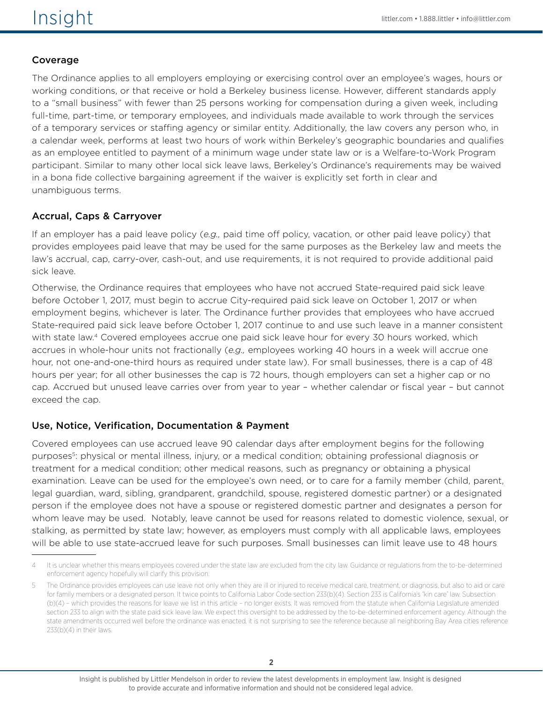# Coverage

The Ordinance applies to all employers employing or exercising control over an employee's wages, hours or working conditions, or that receive or hold a Berkeley business license. However, different standards apply to a "small business" with fewer than 25 persons working for compensation during a given week, including full-time, part-time, or temporary employees, and individuals made available to work through the services of a temporary services or staffing agency or similar entity. Additionally, the law covers any person who, in a calendar week, performs at least two hours of work within Berkeley's geographic boundaries and qualifies as an employee entitled to payment of a minimum wage under state law or is a Welfare-to-Work Program participant. Similar to many other local sick leave laws, Berkeley's Ordinance's requirements may be waived in a bona fide collective bargaining agreement if the waiver is explicitly set forth in clear and unambiguous terms.

## Accrual, Caps & Carryover

If an employer has a paid leave policy (*e.g.,* paid time off policy, vacation, or other paid leave policy) that provides employees paid leave that may be used for the same purposes as the Berkeley law and meets the law's accrual, cap, carry-over, cash-out, and use requirements, it is not required to provide additional paid sick leave.

Otherwise, the Ordinance requires that employees who have not accrued State-required paid sick leave before October 1, 2017, must begin to accrue City-required paid sick leave on October 1, 2017 or when employment begins, whichever is later. The Ordinance further provides that employees who have accrued State-required paid sick leave before October 1, 2017 continue to and use such leave in a manner consistent with state law.<sup>4</sup> Covered employees accrue one paid sick leave hour for every 30 hours worked, which accrues in whole-hour units not fractionally (*e.g.,* employees working 40 hours in a week will accrue one hour, not one-and-one-third hours as required under state law). For small businesses, there is a cap of 48 hours per year; for all other businesses the cap is 72 hours, though employers can set a higher cap or no cap. Accrued but unused leave carries over from year to year – whether calendar or fiscal year – but cannot exceed the cap.

## Use, Notice, Verification, Documentation & Payment

Covered employees can use accrued leave 90 calendar days after employment begins for the following purposes5: physical or mental illness, injury, or a medical condition; obtaining professional diagnosis or treatment for a medical condition; other medical reasons, such as pregnancy or obtaining a physical examination. Leave can be used for the employee's own need, or to care for a family member (child, parent, legal guardian, ward, sibling, grandparent, grandchild, spouse, registered domestic partner) or a designated person if the employee does not have a spouse or registered domestic partner and designates a person for whom leave may be used. Notably, leave cannot be used for reasons related to domestic violence, sexual, or stalking, as permitted by state law; however, as employers must comply with all applicable laws, employees will be able to use state-accrued leave for such purposes. Small businesses can limit leave use to 48 hours

<sup>4</sup> It is unclear whether this means employees covered under the state law are excluded from the city law. Guidance or regulations from the to-be-determined enforcement agency hopefully will clarify this provision.

The Ordinance provides employees can use leave not only when they are ill or injured to receive medical care, treatment, or diagnosis, but also to aid or care for family members or a designated person. It twice points to California Labor Code section 233(b)(4). Section 233 is California's "kin care" law. Subsection (b)(4) – which provides the reasons for leave we list in this article – no longer exists. It was removed from the statute when California Legislature amended section 233 to align with the state paid sick leave law. We expect this oversight to be addressed by the to-be-determined enforcement agency. Although the state amendments occurred well before the ordinance was enacted, it is not surprising to see the reference because all neighboring Bay Area cities reference 233(b)(4) in their laws.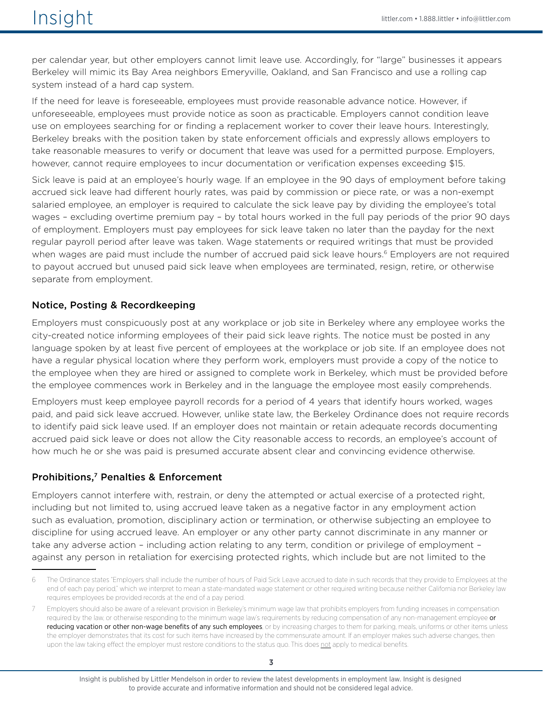per calendar year, but other employers cannot limit leave use. Accordingly, for "large" businesses it appears Berkeley will mimic its Bay Area neighbors Emeryville, Oakland, and San Francisco and use a rolling cap system instead of a hard cap system.

If the need for leave is foreseeable, employees must provide reasonable advance notice. However, if unforeseeable, employees must provide notice as soon as practicable. Employers cannot condition leave use on employees searching for or finding a replacement worker to cover their leave hours. Interestingly, Berkeley breaks with the position taken by state enforcement officials and expressly allows employers to take reasonable measures to verify or document that leave was used for a permitted purpose. Employers, however, cannot require employees to incur documentation or verification expenses exceeding \$15.

Sick leave is paid at an employee's hourly wage. If an employee in the 90 days of employment before taking accrued sick leave had different hourly rates, was paid by commission or piece rate, or was a non-exempt salaried employee, an employer is required to calculate the sick leave pay by dividing the employee's total wages – excluding overtime premium pay – by total hours worked in the full pay periods of the prior 90 days of employment. Employers must pay employees for sick leave taken no later than the payday for the next regular payroll period after leave was taken. Wage statements or required writings that must be provided when wages are paid must include the number of accrued paid sick leave hours.<sup>6</sup> Employers are not required to payout accrued but unused paid sick leave when employees are terminated, resign, retire, or otherwise separate from employment.

#### Notice, Posting & Recordkeeping

Employers must conspicuously post at any workplace or job site in Berkeley where any employee works the city-created notice informing employees of their paid sick leave rights. The notice must be posted in any language spoken by at least five percent of employees at the workplace or job site. If an employee does not have a regular physical location where they perform work, employers must provide a copy of the notice to the employee when they are hired or assigned to complete work in Berkeley, which must be provided before the employee commences work in Berkeley and in the language the employee most easily comprehends.

Employers must keep employee payroll records for a period of 4 years that identify hours worked, wages paid, and paid sick leave accrued. However, unlike state law, the Berkeley Ordinance does not require records to identify paid sick leave used. If an employer does not maintain or retain adequate records documenting accrued paid sick leave or does not allow the City reasonable access to records, an employee's account of how much he or she was paid is presumed accurate absent clear and convincing evidence otherwise.

#### Prohibitions,7 Penalties & Enforcement

Employers cannot interfere with, restrain, or deny the attempted or actual exercise of a protected right, including but not limited to, using accrued leave taken as a negative factor in any employment action such as evaluation, promotion, disciplinary action or termination, or otherwise subjecting an employee to discipline for using accrued leave. An employer or any other party cannot discriminate in any manner or take any adverse action – including action relating to any term, condition or privilege of employment – against any person in retaliation for exercising protected rights, which include but are not limited to the

<sup>6</sup> The Ordinance states "Employers shall include the number of hours of Paid Sick Leave accrued to date in such records that they provide to Employees at the end of each pay period," which we interpret to mean a state-mandated wage statement or other required writing because neither California nor Berkeley law requires employees be provided records at the end of a pay period.

Employers should also be aware of a relevant provision in Berkeley's minimum wage law that prohibits employers from funding increases in compensation required by the law, or otherwise responding to the minimum wage law's requirements by reducing compensation of any non-management employee or reducing vacation or other non-wage benefits of any such employees, or by increasing charges to them for parking, meals, uniforms or other items unless the employer demonstrates that its cost for such items have increased by the commensurate amount. If an employer makes such adverse changes, then upon the law taking effect the employer must restore conditions to the status quo. This does not apply to medical benefits.